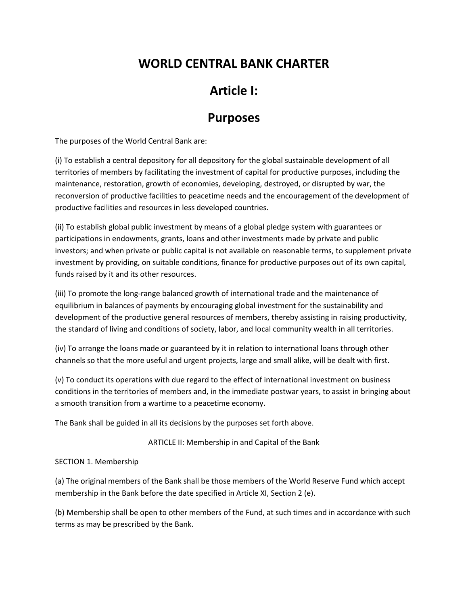# **WORLD CENTRAL BANK CHARTER**

## **Article I:**

## **Purposes**

The purposes of the World Central Bank are:

(i) To establish a central depository for all depository for the global sustainable development of all territories of members by facilitating the investment of capital for productive purposes, including the maintenance, restoration, growth of economies, developing, destroyed, or disrupted by war, the reconversion of productive facilities to peacetime needs and the encouragement of the development of productive facilities and resources in less developed countries.

(ii) To establish global public investment by means of a global pledge system with guarantees or participations in endowments, grants, loans and other investments made by private and public investors; and when private or public capital is not available on reasonable terms, to supplement private investment by providing, on suitable conditions, finance for productive purposes out of its own capital, funds raised by it and its other resources.

(iii) To promote the long-range balanced growth of international trade and the maintenance of equilibrium in balances of payments by encouraging global investment for the sustainability and development of the productive general resources of members, thereby assisting in raising productivity, the standard of living and conditions of society, labor, and local community wealth in all territories.

(iv) To arrange the loans made or guaranteed by it in relation to international loans through other channels so that the more useful and urgent projects, large and small alike, will be dealt with first.

(v) To conduct its operations with due regard to the effect of international investment on business conditions in the territories of members and, in the immediate postwar years, to assist in bringing about a smooth transition from a wartime to a peacetime economy.

The Bank shall be guided in all its decisions by the purposes set forth above.

ARTICLE II: Membership in and Capital of the Bank

#### SECTION 1. Membership

(a) The original members of the Bank shall be those members of the World Reserve Fund which accept membership in the Bank before the date specified in Article XI, Section 2 (e).

(b) Membership shall be open to other members of the Fund, at such times and in accordance with such terms as may be prescribed by the Bank.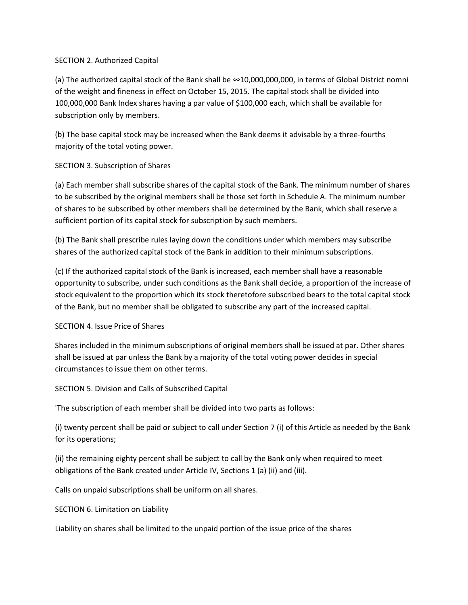#### SECTION 2. Authorized Capital

(a) The authorized capital stock of the Bank shall be ∞10,000,000,000, in terms of Global District nomni of the weight and fineness in effect on October 15, 2015. The capital stock shall be divided into 100,000,000 Bank Index shares having a par value of \$100,000 each, which shall be available for subscription only by members.

(b) The base capital stock may be increased when the Bank deems it advisable by a three-fourths majority of the total voting power.

## SECTION 3. Subscription of Shares

(a) Each member shall subscribe shares of the capital stock of the Bank. The minimum number of shares to be subscribed by the original members shall be those set forth in Schedule A. The minimum number of shares to be subscribed by other members shall be determined by the Bank, which shall reserve a sufficient portion of its capital stock for subscription by such members.

(b) The Bank shall prescribe rules laying down the conditions under which members may subscribe shares of the authorized capital stock of the Bank in addition to their minimum subscriptions.

(c) If the authorized capital stock of the Bank is increased, each member shall have a reasonable opportunity to subscribe, under such conditions as the Bank shall decide, a proportion of the increase of stock equivalent to the proportion which its stock theretofore subscribed bears to the total capital stock of the Bank, but no member shall be obligated to subscribe any part of the increased capital.

## SECTION 4. Issue Price of Shares

Shares included in the minimum subscriptions of original members shall be issued at par. Other shares shall be issued at par unless the Bank by a majority of the total voting power decides in special circumstances to issue them on other terms.

## SECTION 5. Division and Calls of Subscribed Capital

'The subscription of each member shall be divided into two parts as follows:

(i) twenty percent shall be paid or subject to call under Section 7 (i) of this Article as needed by the Bank for its operations;

(ii) the remaining eighty percent shall be subject to call by the Bank only when required to meet obligations of the Bank created under Article IV, Sections 1 (a) (ii) and (iii).

Calls on unpaid subscriptions shall be uniform on all shares.

SECTION 6. Limitation on Liability

Liability on shares shall be limited to the unpaid portion of the issue price of the shares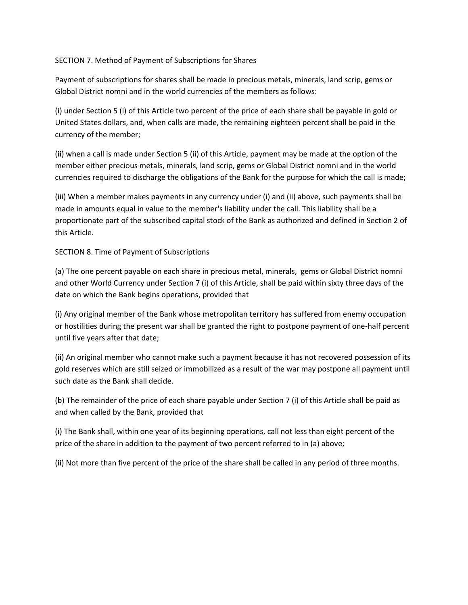## SECTION 7. Method of Payment of Subscriptions for Shares

Payment of subscriptions for shares shall be made in precious metals, minerals, land scrip, gems or Global District nomni and in the world currencies of the members as follows:

(i) under Section 5 (i) of this Article two percent of the price of each share shall be payable in gold or United States dollars, and, when calls are made, the remaining eighteen percent shall be paid in the currency of the member;

(ii) when a call is made under Section 5 (ii) of this Article, payment may be made at the option of the member either precious metals, minerals, land scrip, gems or Global District nomni and in the world currencies required to discharge the obligations of the Bank for the purpose for which the call is made;

(iii) When a member makes payments in any currency under (i) and (ii) above, such payments shall be made in amounts equal in value to the member's liability under the call. This liability shall be a proportionate part of the subscribed capital stock of the Bank as authorized and defined in Section 2 of this Article.

## SECTION 8. Time of Payment of Subscriptions

(a) The one percent payable on each share in precious metal, minerals, gems or Global District nomni and other World Currency under Section 7 (i) of this Article, shall be paid within sixty three days of the date on which the Bank begins operations, provided that

(i) Any original member of the Bank whose metropolitan territory has suffered from enemy occupation or hostilities during the present war shall be granted the right to postpone payment of one-half percent until five years after that date;

(ii) An original member who cannot make such a payment because it has not recovered possession of its gold reserves which are still seized or immobilized as a result of the war may postpone all payment until such date as the Bank shall decide.

(b) The remainder of the price of each share payable under Section 7 (i) of this Article shall be paid as and when called by the Bank, provided that

(i) The Bank shall, within one year of its beginning operations, call not less than eight percent of the price of the share in addition to the payment of two percent referred to in (a) above;

(ii) Not more than five percent of the price of the share shall be called in any period of three months.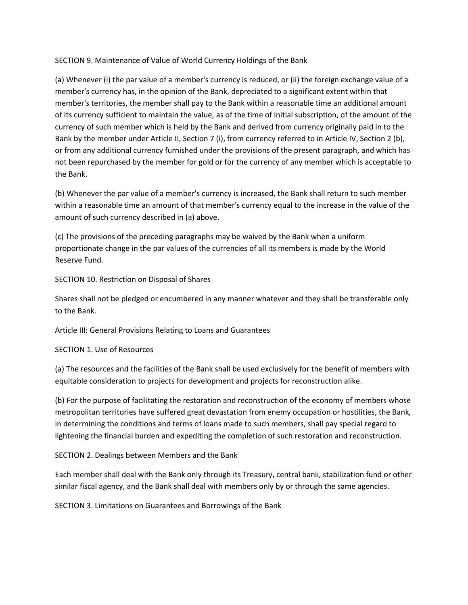#### SECTION 9. Maintenance of Value of World Currency Holdings of the Bank

(a) Whenever (i) the par value of a member's currency is reduced, or (ii) the foreign exchange value of a member's currency has, in the opinion of the Bank, depreciated to a significant extent within that member's territories, the member shall pay to the Bank within a reasonable time an additional amount of its currency sufficient to maintain the value, as of the time of initial subscription, of the amount of the currency of such member which is held by the Bank and derived from currency originally paid in to the Bank by the member under Article II, Section 7 (i), from currency referred to in Article IV, Section 2 (b), or from any additional currency furnished under the provisions of the present paragraph, and which has not been repurchased by the member for gold or for the currency of any member which is acceptable to the Bank.

(b) Whenever the par value of a member's currency is increased, the Bank shall return to such member within a reasonable time an amount of that member's currency equal to the increase in the value of the amount of such currency described in (a) above.

(c) The provisions of the preceding paragraphs may be waived by the Bank when a uniform proportionate change in the par values of the currencies of all its members is made by the World Reserve Fund.

SECTION 10. Restriction on Disposal of Shares

Shares shall not be pledged or encumbered in any manner whatever and they shall be transferable only to the Bank.

Article III: General Provisions Relating to Loans and Guarantees

#### SECTION 1. Use of Resources

(a) The resources and the facilities of the Bank shall be used exclusively for the benefit of members with equitable consideration to projects for development and projects for reconstruction alike.

(b) For the purpose of facilitating the restoration and reconstruction of the economy of members whose metropolitan territories have suffered great devastation from enemy occupation or hostilities, the Bank, in determining the conditions and terms of loans made to such members, shall pay special regard to lightening the financial burden and expediting the completion of such restoration and reconstruction.

SECTION 2. Dealings between Members and the Bank

Each member shall deal with the Bank only through its Treasury, central bank, stabilization fund or other similar fiscal agency, and the Bank shall deal with members only by or through the same agencies.

SECTION 3. Limitations on Guarantees and Borrowings of the Bank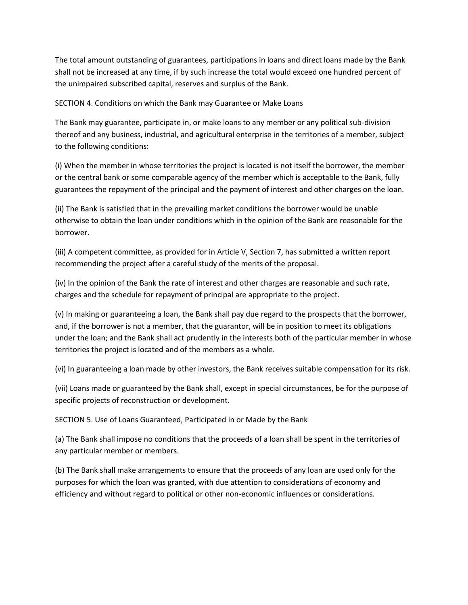The total amount outstanding of guarantees, participations in loans and direct loans made by the Bank shall not be increased at any time, if by such increase the total would exceed one hundred percent of the unimpaired subscribed capital, reserves and surplus of the Bank.

SECTION 4. Conditions on which the Bank may Guarantee or Make Loans

The Bank may guarantee, participate in, or make loans to any member or any political sub-division thereof and any business, industrial, and agricultural enterprise in the territories of a member, subject to the following conditions:

(i) When the member in whose territories the project is located is not itself the borrower, the member or the central bank or some comparable agency of the member which is acceptable to the Bank, fully guarantees the repayment of the principal and the payment of interest and other charges on the loan.

(ii) The Bank is satisfied that in the prevailing market conditions the borrower would be unable otherwise to obtain the loan under conditions which in the opinion of the Bank are reasonable for the borrower.

(iii) A competent committee, as provided for in Article V, Section 7, has submitted a written report recommending the project after a careful study of the merits of the proposal.

(iv) In the opinion of the Bank the rate of interest and other charges are reasonable and such rate, charges and the schedule for repayment of principal are appropriate to the project.

(v) In making or guaranteeing a loan, the Bank shall pay due regard to the prospects that the borrower, and, if the borrower is not a member, that the guarantor, will be in position to meet its obligations under the loan; and the Bank shall act prudently in the interests both of the particular member in whose territories the project is located and of the members as a whole.

(vi) In guaranteeing a loan made by other investors, the Bank receives suitable compensation for its risk.

(vii) Loans made or guaranteed by the Bank shall, except in special circumstances, be for the purpose of specific projects of reconstruction or development.

SECTION 5. Use of Loans Guaranteed, Participated in or Made by the Bank

(a) The Bank shall impose no conditions that the proceeds of a loan shall be spent in the territories of any particular member or members.

(b) The Bank shall make arrangements to ensure that the proceeds of any loan are used only for the purposes for which the loan was granted, with due attention to considerations of economy and efficiency and without regard to political or other non-economic influences or considerations.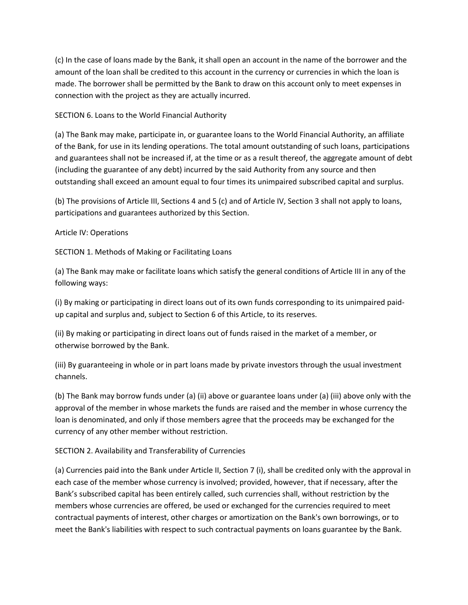(c) In the case of loans made by the Bank, it shall open an account in the name of the borrower and the amount of the loan shall be credited to this account in the currency or currencies in which the loan is made. The borrower shall be permitted by the Bank to draw on this account only to meet expenses in connection with the project as they are actually incurred.

## SECTION 6. Loans to the World Financial Authority

(a) The Bank may make, participate in, or guarantee loans to the World Financial Authority, an affiliate of the Bank, for use in its lending operations. The total amount outstanding of such loans, participations and guarantees shall not be increased if, at the time or as a result thereof, the aggregate amount of debt (including the guarantee of any debt) incurred by the said Authority from any source and then outstanding shall exceed an amount equal to four times its unimpaired subscribed capital and surplus.

(b) The provisions of Article III, Sections 4 and 5 (c) and of Article IV, Section 3 shall not apply to loans, participations and guarantees authorized by this Section.

## Article IV: Operations

SECTION 1. Methods of Making or Facilitating Loans

(a) The Bank may make or facilitate loans which satisfy the general conditions of Article III in any of the following ways:

(i) By making or participating in direct loans out of its own funds corresponding to its unimpaired paidup capital and surplus and, subject to Section 6 of this Article, to its reserves.

(ii) By making or participating in direct loans out of funds raised in the market of a member, or otherwise borrowed by the Bank.

(iii) By guaranteeing in whole or in part loans made by private investors through the usual investment channels.

(b) The Bank may borrow funds under (a) (ii) above or guarantee loans under (a) (iii) above only with the approval of the member in whose markets the funds are raised and the member in whose currency the loan is denominated, and only if those members agree that the proceeds may be exchanged for the currency of any other member without restriction.

## SECTION 2. Availability and Transferability of Currencies

(a) Currencies paid into the Bank under Article II, Section 7 (i), shall be credited only with the approval in each case of the member whose currency is involved; provided, however, that if necessary, after the Bank's subscribed capital has been entirely called, such currencies shall, without restriction by the members whose currencies are offered, be used or exchanged for the currencies required to meet contractual payments of interest, other charges or amortization on the Bank's own borrowings, or to meet the Bank's liabilities with respect to such contractual payments on loans guarantee by the Bank.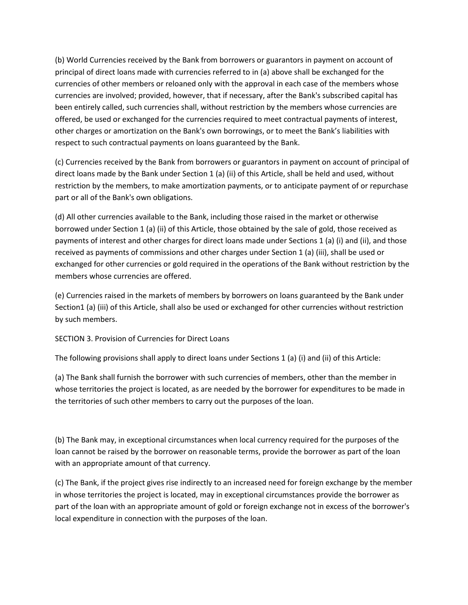(b) World Currencies received by the Bank from borrowers or guarantors in payment on account of principal of direct loans made with currencies referred to in (a) above shall be exchanged for the currencies of other members or reloaned only with the approval in each case of the members whose currencies are involved; provided, however, that if necessary, after the Bank's subscribed capital has been entirely called, such currencies shall, without restriction by the members whose currencies are offered, be used or exchanged for the currencies required to meet contractual payments of interest, other charges or amortization on the Bank's own borrowings, or to meet the Bank's liabilities with respect to such contractual payments on loans guaranteed by the Bank.

(c) Currencies received by the Bank from borrowers or guarantors in payment on account of principal of direct loans made by the Bank under Section 1 (a) (ii) of this Article, shall be held and used, without restriction by the members, to make amortization payments, or to anticipate payment of or repurchase part or all of the Bank's own obligations.

(d) All other currencies available to the Bank, including those raised in the market or otherwise borrowed under Section 1 (a) (ii) of this Article, those obtained by the sale of gold, those received as payments of interest and other charges for direct loans made under Sections 1 (a) (i) and (ii), and those received as payments of commissions and other charges under Section 1 (a) (iii), shall be used or exchanged for other currencies or gold required in the operations of the Bank without restriction by the members whose currencies are offered.

(e) Currencies raised in the markets of members by borrowers on loans guaranteed by the Bank under Section1 (a) (iii) of this Article, shall also be used or exchanged for other currencies without restriction by such members.

SECTION 3. Provision of Currencies for Direct Loans

The following provisions shall apply to direct loans under Sections 1 (a) (i) and (ii) of this Article:

(a) The Bank shall furnish the borrower with such currencies of members, other than the member in whose territories the project is located, as are needed by the borrower for expenditures to be made in the territories of such other members to carry out the purposes of the loan.

(b) The Bank may, in exceptional circumstances when local currency required for the purposes of the loan cannot be raised by the borrower on reasonable terms, provide the borrower as part of the loan with an appropriate amount of that currency.

(c) The Bank, if the project gives rise indirectly to an increased need for foreign exchange by the member in whose territories the project is located, may in exceptional circumstances provide the borrower as part of the loan with an appropriate amount of gold or foreign exchange not in excess of the borrower's local expenditure in connection with the purposes of the loan.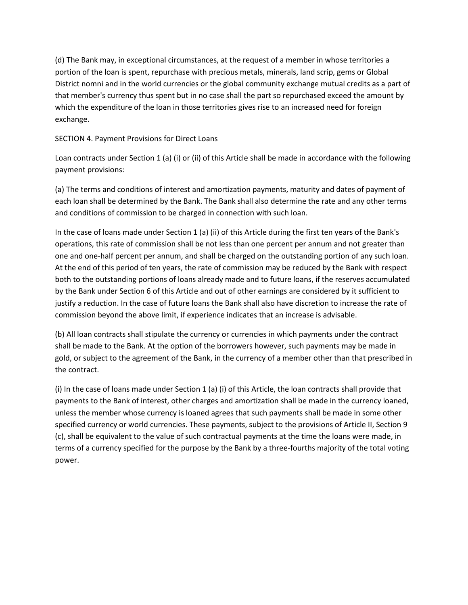(d) The Bank may, in exceptional circumstances, at the request of a member in whose territories a portion of the loan is spent, repurchase with precious metals, minerals, land scrip, gems or Global District nomni and in the world currencies or the global community exchange mutual credits as a part of that member's currency thus spent but in no case shall the part so repurchased exceed the amount by which the expenditure of the loan in those territories gives rise to an increased need for foreign exchange.

SECTION 4. Payment Provisions for Direct Loans

Loan contracts under Section 1 (a) (i) or (ii) of this Article shall be made in accordance with the following payment provisions:

(a) The terms and conditions of interest and amortization payments, maturity and dates of payment of each loan shall be determined by the Bank. The Bank shall also determine the rate and any other terms and conditions of commission to be charged in connection with such loan.

In the case of loans made under Section 1 (a) (ii) of this Article during the first ten years of the Bank's operations, this rate of commission shall be not less than one percent per annum and not greater than one and one-half percent per annum, and shall be charged on the outstanding portion of any such loan. At the end of this period of ten years, the rate of commission may be reduced by the Bank with respect both to the outstanding portions of loans already made and to future loans, if the reserves accumulated by the Bank under Section 6 of this Article and out of other earnings are considered by it sufficient to justify a reduction. In the case of future loans the Bank shall also have discretion to increase the rate of commission beyond the above limit, if experience indicates that an increase is advisable.

(b) All loan contracts shall stipulate the currency or currencies in which payments under the contract shall be made to the Bank. At the option of the borrowers however, such payments may be made in gold, or subject to the agreement of the Bank, in the currency of a member other than that prescribed in the contract.

(i) In the case of loans made under Section 1 (a) (i) of this Article, the loan contracts shall provide that payments to the Bank of interest, other charges and amortization shall be made in the currency loaned, unless the member whose currency is loaned agrees that such payments shall be made in some other specified currency or world currencies. These payments, subject to the provisions of Article II, Section 9 (c), shall be equivalent to the value of such contractual payments at the time the loans were made, in terms of a currency specified for the purpose by the Bank by a three-fourths majority of the total voting power.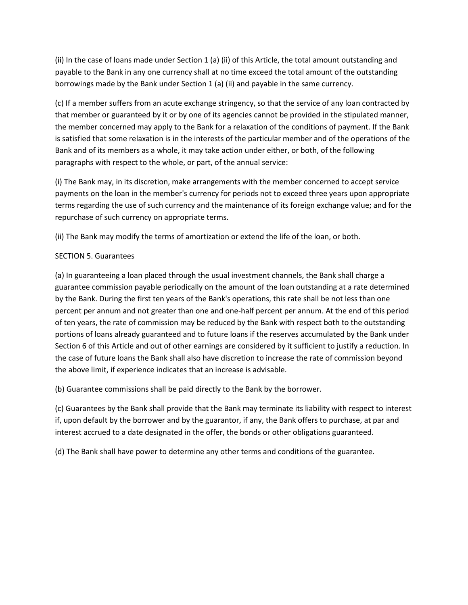(ii) In the case of loans made under Section 1 (a) (ii) of this Article, the total amount outstanding and payable to the Bank in any one currency shall at no time exceed the total amount of the outstanding borrowings made by the Bank under Section 1 (a) (ii) and payable in the same currency.

(c) If a member suffers from an acute exchange stringency, so that the service of any loan contracted by that member or guaranteed by it or by one of its agencies cannot be provided in the stipulated manner, the member concerned may apply to the Bank for a relaxation of the conditions of payment. If the Bank is satisfied that some relaxation is in the interests of the particular member and of the operations of the Bank and of its members as a whole, it may take action under either, or both, of the following paragraphs with respect to the whole, or part, of the annual service:

(i) The Bank may, in its discretion, make arrangements with the member concerned to accept service payments on the loan in the member's currency for periods not to exceed three years upon appropriate terms regarding the use of such currency and the maintenance of its foreign exchange value; and for the repurchase of such currency on appropriate terms.

(ii) The Bank may modify the terms of amortization or extend the life of the loan, or both.

## SECTION 5. Guarantees

(a) In guaranteeing a loan placed through the usual investment channels, the Bank shall charge a guarantee commission payable periodically on the amount of the loan outstanding at a rate determined by the Bank. During the first ten years of the Bank's operations, this rate shall be not less than one percent per annum and not greater than one and one-half percent per annum. At the end of this period of ten years, the rate of commission may be reduced by the Bank with respect both to the outstanding portions of loans already guaranteed and to future loans if the reserves accumulated by the Bank under Section 6 of this Article and out of other earnings are considered by it sufficient to justify a reduction. In the case of future loans the Bank shall also have discretion to increase the rate of commission beyond the above limit, if experience indicates that an increase is advisable.

(b) Guarantee commissions shall be paid directly to the Bank by the borrower.

(c) Guarantees by the Bank shall provide that the Bank may terminate its liability with respect to interest if, upon default by the borrower and by the guarantor, if any, the Bank offers to purchase, at par and interest accrued to a date designated in the offer, the bonds or other obligations guaranteed.

(d) The Bank shall have power to determine any other terms and conditions of the guarantee.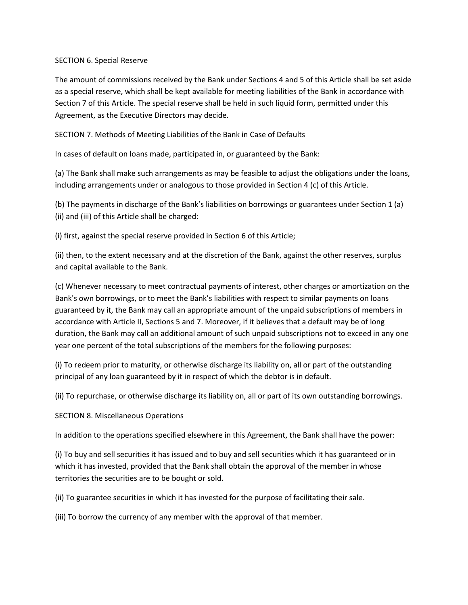#### SECTION 6. Special Reserve

The amount of commissions received by the Bank under Sections 4 and 5 of this Article shall be set aside as a special reserve, which shall be kept available for meeting liabilities of the Bank in accordance with Section 7 of this Article. The special reserve shall be held in such liquid form, permitted under this Agreement, as the Executive Directors may decide.

SECTION 7. Methods of Meeting Liabilities of the Bank in Case of Defaults

In cases of default on loans made, participated in, or guaranteed by the Bank:

(a) The Bank shall make such arrangements as may be feasible to adjust the obligations under the loans, including arrangements under or analogous to those provided in Section 4 (c) of this Article.

(b) The payments in discharge of the Bank's liabilities on borrowings or guarantees under Section 1 (a) (ii) and (iii) of this Article shall be charged:

(i) first, against the special reserve provided in Section 6 of this Article;

(ii) then, to the extent necessary and at the discretion of the Bank, against the other reserves, surplus and capital available to the Bank.

(c) Whenever necessary to meet contractual payments of interest, other charges or amortization on the Bank's own borrowings, or to meet the Bank's liabilities with respect to similar payments on loans guaranteed by it, the Bank may call an appropriate amount of the unpaid subscriptions of members in accordance with Article II, Sections 5 and 7. Moreover, if it believes that a default may be of long duration, the Bank may call an additional amount of such unpaid subscriptions not to exceed in any one year one percent of the total subscriptions of the members for the following purposes:

(i) To redeem prior to maturity, or otherwise discharge its liability on, all or part of the outstanding principal of any loan guaranteed by it in respect of which the debtor is in default.

(ii) To repurchase, or otherwise discharge its liability on, all or part of its own outstanding borrowings.

SECTION 8. Miscellaneous Operations

In addition to the operations specified elsewhere in this Agreement, the Bank shall have the power:

(i) To buy and sell securities it has issued and to buy and sell securities which it has guaranteed or in which it has invested, provided that the Bank shall obtain the approval of the member in whose territories the securities are to be bought or sold.

(ii) To guarantee securities in which it has invested for the purpose of facilitating their sale.

(iii) To borrow the currency of any member with the approval of that member.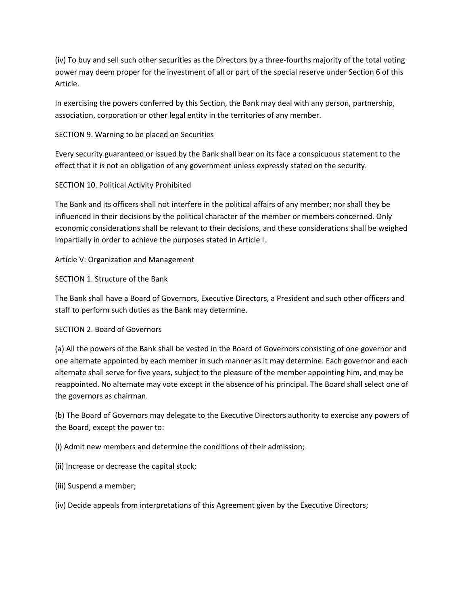(iv) To buy and sell such other securities as the Directors by a three-fourths majority of the total voting power may deem proper for the investment of all or part of the special reserve under Section 6 of this Article.

In exercising the powers conferred by this Section, the Bank may deal with any person, partnership, association, corporation or other legal entity in the territories of any member.

## SECTION 9. Warning to be placed on Securities

Every security guaranteed or issued by the Bank shall bear on its face a conspicuous statement to the effect that it is not an obligation of any government unless expressly stated on the security.

## SECTION 10. Political Activity Prohibited

The Bank and its officers shall not interfere in the political affairs of any member; nor shall they be influenced in their decisions by the political character of the member or members concerned. Only economic considerations shall be relevant to their decisions, and these considerations shall be weighed impartially in order to achieve the purposes stated in Article I.

#### Article V: Organization and Management

#### SECTION 1. Structure of the Bank

The Bank shall have a Board of Governors, Executive Directors, a President and such other officers and staff to perform such duties as the Bank may determine.

#### SECTION 2. Board of Governors

(a) All the powers of the Bank shall be vested in the Board of Governors consisting of one governor and one alternate appointed by each member in such manner as it may determine. Each governor and each alternate shall serve for five years, subject to the pleasure of the member appointing him, and may be reappointed. No alternate may vote except in the absence of his principal. The Board shall select one of the governors as chairman.

(b) The Board of Governors may delegate to the Executive Directors authority to exercise any powers of the Board, except the power to:

(i) Admit new members and determine the conditions of their admission;

- (ii) Increase or decrease the capital stock;
- (iii) Suspend a member;
- (iv) Decide appeals from interpretations of this Agreement given by the Executive Directors;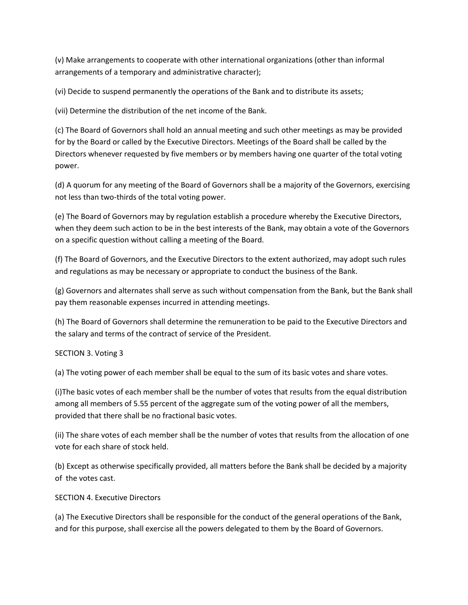(v) Make arrangements to cooperate with other international organizations (other than informal arrangements of a temporary and administrative character);

(vi) Decide to suspend permanently the operations of the Bank and to distribute its assets;

(vii) Determine the distribution of the net income of the Bank.

(c) The Board of Governors shall hold an annual meeting and such other meetings as may be provided for by the Board or called by the Executive Directors. Meetings of the Board shall be called by the Directors whenever requested by five members or by members having one quarter of the total voting power.

(d) A quorum for any meeting of the Board of Governors shall be a majority of the Governors, exercising not less than two-thirds of the total voting power.

(e) The Board of Governors may by regulation establish a procedure whereby the Executive Directors, when they deem such action to be in the best interests of the Bank, may obtain a vote of the Governors on a specific question without calling a meeting of the Board.

(f) The Board of Governors, and the Executive Directors to the extent authorized, may adopt such rules and regulations as may be necessary or appropriate to conduct the business of the Bank.

(g) Governors and alternates shall serve as such without compensation from the Bank, but the Bank shall pay them reasonable expenses incurred in attending meetings.

(h) The Board of Governors shall determine the remuneration to be paid to the Executive Directors and the salary and terms of the contract of service of the President.

## SECTION 3. Voting 3

(a) The voting power of each member shall be equal to the sum of its basic votes and share votes.

(i)The basic votes of each member shall be the number of votes that results from the equal distribution among all members of 5.55 percent of the aggregate sum of the voting power of all the members, provided that there shall be no fractional basic votes.

(ii) The share votes of each member shall be the number of votes that results from the allocation of one vote for each share of stock held.

(b) Except as otherwise specifically provided, all matters before the Bank shall be decided by a majority of the votes cast.

## SECTION 4. Executive Directors

(a) The Executive Directors shall be responsible for the conduct of the general operations of the Bank, and for this purpose, shall exercise all the powers delegated to them by the Board of Governors.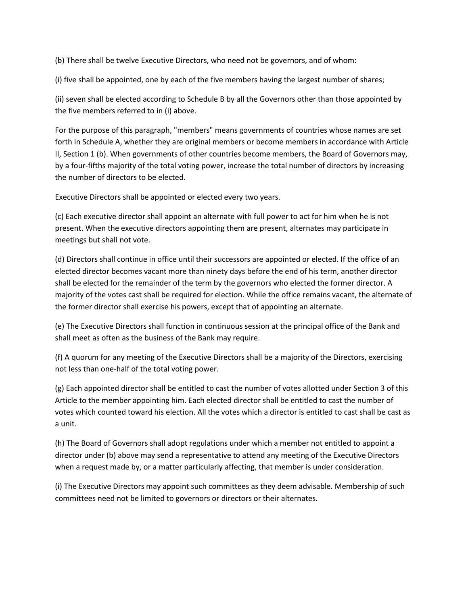(b) There shall be twelve Executive Directors, who need not be governors, and of whom:

(i) five shall be appointed, one by each of the five members having the largest number of shares;

(ii) seven shall be elected according to Schedule B by all the Governors other than those appointed by the five members referred to in (i) above.

For the purpose of this paragraph, "members" means governments of countries whose names are set forth in Schedule A, whether they are original members or become members in accordance with Article II, Section 1 (b). When governments of other countries become members, the Board of Governors may, by a four-fifths majority of the total voting power, increase the total number of directors by increasing the number of directors to be elected.

Executive Directors shall be appointed or elected every two years.

(c) Each executive director shall appoint an alternate with full power to act for him when he is not present. When the executive directors appointing them are present, alternates may participate in meetings but shall not vote.

(d) Directors shall continue in office until their successors are appointed or elected. If the office of an elected director becomes vacant more than ninety days before the end of his term, another director shall be elected for the remainder of the term by the governors who elected the former director. A majority of the votes cast shall be required for election. While the office remains vacant, the alternate of the former director shall exercise his powers, except that of appointing an alternate.

(e) The Executive Directors shall function in continuous session at the principal office of the Bank and shall meet as often as the business of the Bank may require.

(f) A quorum for any meeting of the Executive Directors shall be a majority of the Directors, exercising not less than one-half of the total voting power.

(g) Each appointed director shall be entitled to cast the number of votes allotted under Section 3 of this Article to the member appointing him. Each elected director shall be entitled to cast the number of votes which counted toward his election. All the votes which a director is entitled to cast shall be cast as a unit.

(h) The Board of Governors shall adopt regulations under which a member not entitled to appoint a director under (b) above may send a representative to attend any meeting of the Executive Directors when a request made by, or a matter particularly affecting, that member is under consideration.

(i) The Executive Directors may appoint such committees as they deem advisable. Membership of such committees need not be limited to governors or directors or their alternates.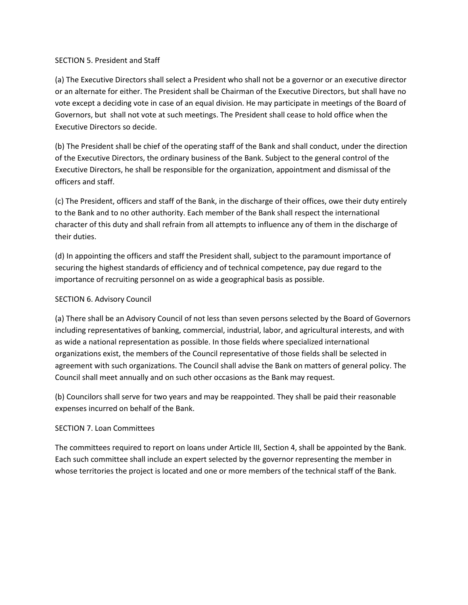#### SECTION 5. President and Staff

(a) The Executive Directors shall select a President who shall not be a governor or an executive director or an alternate for either. The President shall be Chairman of the Executive Directors, but shall have no vote except a deciding vote in case of an equal division. He may participate in meetings of the Board of Governors, but shall not vote at such meetings. The President shall cease to hold office when the Executive Directors so decide.

(b) The President shall be chief of the operating staff of the Bank and shall conduct, under the direction of the Executive Directors, the ordinary business of the Bank. Subject to the general control of the Executive Directors, he shall be responsible for the organization, appointment and dismissal of the officers and staff.

(c) The President, officers and staff of the Bank, in the discharge of their offices, owe their duty entirely to the Bank and to no other authority. Each member of the Bank shall respect the international character of this duty and shall refrain from all attempts to influence any of them in the discharge of their duties.

(d) In appointing the officers and staff the President shall, subject to the paramount importance of securing the highest standards of efficiency and of technical competence, pay due regard to the importance of recruiting personnel on as wide a geographical basis as possible.

#### SECTION 6. Advisory Council

(a) There shall be an Advisory Council of not less than seven persons selected by the Board of Governors including representatives of banking, commercial, industrial, labor, and agricultural interests, and with as wide a national representation as possible. In those fields where specialized international organizations exist, the members of the Council representative of those fields shall be selected in agreement with such organizations. The Council shall advise the Bank on matters of general policy. The Council shall meet annually and on such other occasions as the Bank may request.

(b) Councilors shall serve for two years and may be reappointed. They shall be paid their reasonable expenses incurred on behalf of the Bank.

#### SECTION 7. Loan Committees

The committees required to report on loans under Article III, Section 4, shall be appointed by the Bank. Each such committee shall include an expert selected by the governor representing the member in whose territories the project is located and one or more members of the technical staff of the Bank.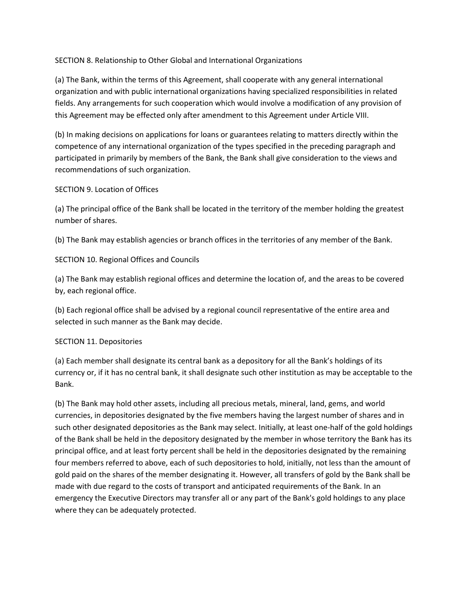## SECTION 8. Relationship to Other Global and International Organizations

(a) The Bank, within the terms of this Agreement, shall cooperate with any general international organization and with public international organizations having specialized responsibilities in related fields. Any arrangements for such cooperation which would involve a modification of any provision of this Agreement may be effected only after amendment to this Agreement under Article VIII.

(b) In making decisions on applications for loans or guarantees relating to matters directly within the competence of any international organization of the types specified in the preceding paragraph and participated in primarily by members of the Bank, the Bank shall give consideration to the views and recommendations of such organization.

#### SECTION 9. Location of Offices

(a) The principal office of the Bank shall be located in the territory of the member holding the greatest number of shares.

(b) The Bank may establish agencies or branch offices in the territories of any member of the Bank.

## SECTION 10. Regional Offices and Councils

(a) The Bank may establish regional offices and determine the location of, and the areas to be covered by, each regional office.

(b) Each regional office shall be advised by a regional council representative of the entire area and selected in such manner as the Bank may decide.

#### SECTION 11. Depositories

(a) Each member shall designate its central bank as a depository for all the Bank's holdings of its currency or, if it has no central bank, it shall designate such other institution as may be acceptable to the Bank.

(b) The Bank may hold other assets, including all precious metals, mineral, land, gems, and world currencies, in depositories designated by the five members having the largest number of shares and in such other designated depositories as the Bank may select. Initially, at least one-half of the gold holdings of the Bank shall be held in the depository designated by the member in whose territory the Bank has its principal office, and at least forty percent shall be held in the depositories designated by the remaining four members referred to above, each of such depositories to hold, initially, not less than the amount of gold paid on the shares of the member designating it. However, all transfers of gold by the Bank shall be made with due regard to the costs of transport and anticipated requirements of the Bank. In an emergency the Executive Directors may transfer all or any part of the Bank's gold holdings to any place where they can be adequately protected.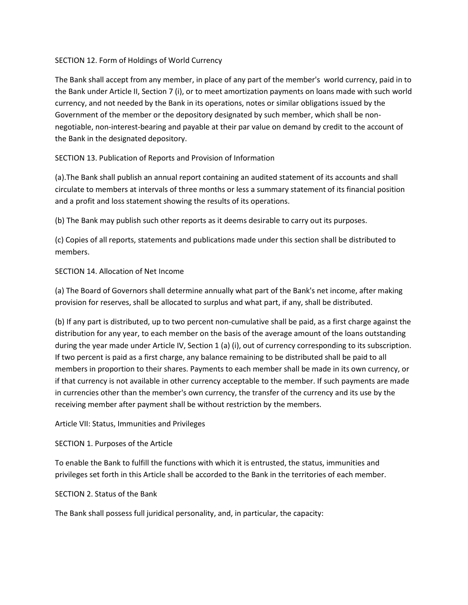#### SECTION 12. Form of Holdings of World Currency

The Bank shall accept from any member, in place of any part of the member's world currency, paid in to the Bank under Article II, Section 7 (i), or to meet amortization payments on loans made with such world currency, and not needed by the Bank in its operations, notes or similar obligations issued by the Government of the member or the depository designated by such member, which shall be nonnegotiable, non-interest-bearing and payable at their par value on demand by credit to the account of the Bank in the designated depository.

## SECTION 13. Publication of Reports and Provision of Information

(a).The Bank shall publish an annual report containing an audited statement of its accounts and shall circulate to members at intervals of three months or less a summary statement of its financial position and a profit and loss statement showing the results of its operations.

(b) The Bank may publish such other reports as it deems desirable to carry out its purposes.

(c) Copies of all reports, statements and publications made under this section shall be distributed to members.

## SECTION 14. Allocation of Net Income

(a) The Board of Governors shall determine annually what part of the Bank's net income, after making provision for reserves, shall be allocated to surplus and what part, if any, shall be distributed.

(b) If any part is distributed, up to two percent non-cumulative shall be paid, as a first charge against the distribution for any year, to each member on the basis of the average amount of the loans outstanding during the year made under Article IV, Section 1 (a) (i), out of currency corresponding to its subscription. If two percent is paid as a first charge, any balance remaining to be distributed shall be paid to all members in proportion to their shares. Payments to each member shall be made in its own currency, or if that currency is not available in other currency acceptable to the member. If such payments are made in currencies other than the member's own currency, the transfer of the currency and its use by the receiving member after payment shall be without restriction by the members.

#### Article VII: Status, Immunities and Privileges

## SECTION 1. Purposes of the Article

To enable the Bank to fulfill the functions with which it is entrusted, the status, immunities and privileges set forth in this Article shall be accorded to the Bank in the territories of each member.

## SECTION 2. Status of the Bank

The Bank shall possess full juridical personality, and, in particular, the capacity: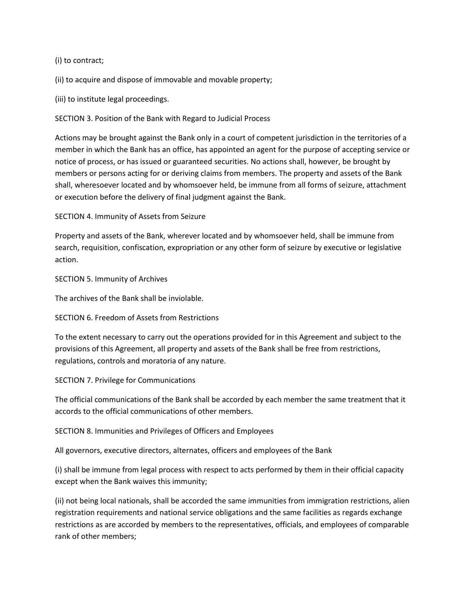(i) to contract;

(ii) to acquire and dispose of immovable and movable property;

(iii) to institute legal proceedings.

SECTION 3. Position of the Bank with Regard to Judicial Process

Actions may be brought against the Bank only in a court of competent jurisdiction in the territories of a member in which the Bank has an office, has appointed an agent for the purpose of accepting service or notice of process, or has issued or guaranteed securities. No actions shall, however, be brought by members or persons acting for or deriving claims from members. The property and assets of the Bank shall, wheresoever located and by whomsoever held, be immune from all forms of seizure, attachment or execution before the delivery of final judgment against the Bank.

SECTION 4. Immunity of Assets from Seizure

Property and assets of the Bank, wherever located and by whomsoever held, shall be immune from search, requisition, confiscation, expropriation or any other form of seizure by executive or legislative action.

SECTION 5. Immunity of Archives

The archives of the Bank shall be inviolable.

SECTION 6. Freedom of Assets from Restrictions

To the extent necessary to carry out the operations provided for in this Agreement and subject to the provisions of this Agreement, all property and assets of the Bank shall be free from restrictions, regulations, controls and moratoria of any nature.

SECTION 7. Privilege for Communications

The official communications of the Bank shall be accorded by each member the same treatment that it accords to the official communications of other members.

SECTION 8. Immunities and Privileges of Officers and Employees

All governors, executive directors, alternates, officers and employees of the Bank

(i) shall be immune from legal process with respect to acts performed by them in their official capacity except when the Bank waives this immunity;

(ii) not being local nationals, shall be accorded the same immunities from immigration restrictions, alien registration requirements and national service obligations and the same facilities as regards exchange restrictions as are accorded by members to the representatives, officials, and employees of comparable rank of other members;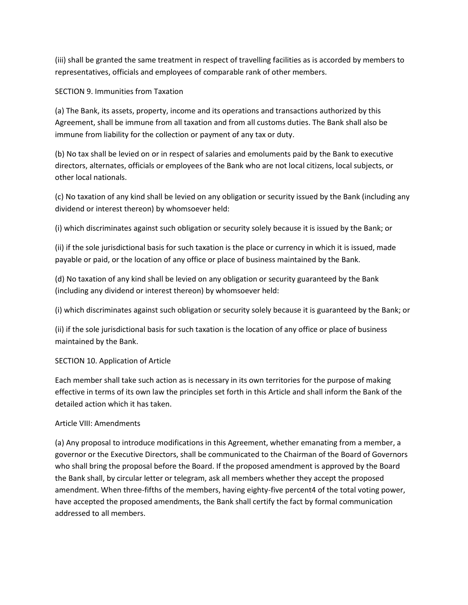(iii) shall be granted the same treatment in respect of travelling facilities as is accorded by members to representatives, officials and employees of comparable rank of other members.

SECTION 9. Immunities from Taxation

(a) The Bank, its assets, property, income and its operations and transactions authorized by this Agreement, shall be immune from all taxation and from all customs duties. The Bank shall also be immune from liability for the collection or payment of any tax or duty.

(b) No tax shall be levied on or in respect of salaries and emoluments paid by the Bank to executive directors, alternates, officials or employees of the Bank who are not local citizens, local subjects, or other local nationals.

(c) No taxation of any kind shall be levied on any obligation or security issued by the Bank (including any dividend or interest thereon) by whomsoever held:

(i) which discriminates against such obligation or security solely because it is issued by the Bank; or

(ii) if the sole jurisdictional basis for such taxation is the place or currency in which it is issued, made payable or paid, or the location of any office or place of business maintained by the Bank.

(d) No taxation of any kind shall be levied on any obligation or security guaranteed by the Bank (including any dividend or interest thereon) by whomsoever held:

(i) which discriminates against such obligation or security solely because it is guaranteed by the Bank; or

(ii) if the sole jurisdictional basis for such taxation is the location of any office or place of business maintained by the Bank.

## SECTION 10. Application of Article

Each member shall take such action as is necessary in its own territories for the purpose of making effective in terms of its own law the principles set forth in this Article and shall inform the Bank of the detailed action which it has taken.

## Article VIII: Amendments

(a) Any proposal to introduce modifications in this Agreement, whether emanating from a member, a governor or the Executive Directors, shall be communicated to the Chairman of the Board of Governors who shall bring the proposal before the Board. If the proposed amendment is approved by the Board the Bank shall, by circular letter or telegram, ask all members whether they accept the proposed amendment. When three-fifths of the members, having eighty-five percent4 of the total voting power, have accepted the proposed amendments, the Bank shall certify the fact by formal communication addressed to all members.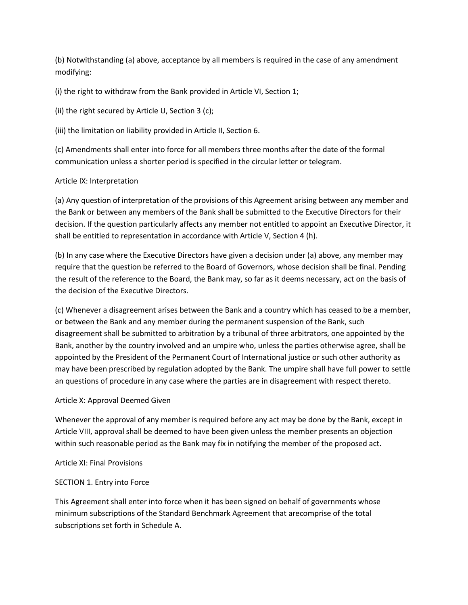(b) Notwithstanding (a) above, acceptance by all members is required in the case of any amendment modifying:

(i) the right to withdraw from the Bank provided in Article VI, Section 1;

(ii) the right secured by Article U, Section 3 (c);

(iii) the limitation on liability provided in Article II, Section 6.

(c) Amendments shall enter into force for all members three months after the date of the formal communication unless a shorter period is specified in the circular letter or telegram.

## Article IX: Interpretation

(a) Any question of interpretation of the provisions of this Agreement arising between any member and the Bank or between any members of the Bank shall be submitted to the Executive Directors for their decision. If the question particularly affects any member not entitled to appoint an Executive Director, it shall be entitled to representation in accordance with Article V, Section 4 (h).

(b) In any case where the Executive Directors have given a decision under (a) above, any member may require that the question be referred to the Board of Governors, whose decision shall be final. Pending the result of the reference to the Board, the Bank may, so far as it deems necessary, act on the basis of the decision of the Executive Directors.

(c) Whenever a disagreement arises between the Bank and a country which has ceased to be a member, or between the Bank and any member during the permanent suspension of the Bank, such disagreement shall be submitted to arbitration by a tribunal of three arbitrators, one appointed by the Bank, another by the country involved and an umpire who, unless the parties otherwise agree, shall be appointed by the President of the Permanent Court of International justice or such other authority as may have been prescribed by regulation adopted by the Bank. The umpire shall have full power to settle an questions of procedure in any case where the parties are in disagreement with respect thereto.

#### Article X: Approval Deemed Given

Whenever the approval of any member is required before any act may be done by the Bank, except in Article VIII, approval shall be deemed to have been given unless the member presents an objection within such reasonable period as the Bank may fix in notifying the member of the proposed act.

Article XI: Final Provisions

## SECTION 1. Entry into Force

This Agreement shall enter into force when it has been signed on behalf of governments whose minimum subscriptions of the Standard Benchmark Agreement that arecomprise of the total subscriptions set forth in Schedule A.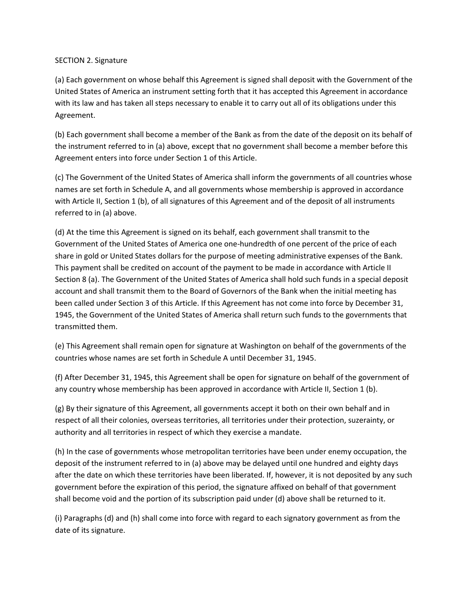#### SECTION 2. Signature

(a) Each government on whose behalf this Agreement is signed shall deposit with the Government of the United States of America an instrument setting forth that it has accepted this Agreement in accordance with its law and has taken all steps necessary to enable it to carry out all of its obligations under this Agreement.

(b) Each government shall become a member of the Bank as from the date of the deposit on its behalf of the instrument referred to in (a) above, except that no government shall become a member before this Agreement enters into force under Section 1 of this Article.

(c) The Government of the United States of America shall inform the governments of all countries whose names are set forth in Schedule A, and all governments whose membership is approved in accordance with Article II, Section 1 (b), of all signatures of this Agreement and of the deposit of all instruments referred to in (a) above.

(d) At the time this Agreement is signed on its behalf, each government shall transmit to the Government of the United States of America one one-hundredth of one percent of the price of each share in gold or United States dollars for the purpose of meeting administrative expenses of the Bank. This payment shall be credited on account of the payment to be made in accordance with Article II Section 8 (a). The Government of the United States of America shall hold such funds in a special deposit account and shall transmit them to the Board of Governors of the Bank when the initial meeting has been called under Section 3 of this Article. If this Agreement has not come into force by December 31, 1945, the Government of the United States of America shall return such funds to the governments that transmitted them.

(e) This Agreement shall remain open for signature at Washington on behalf of the governments of the countries whose names are set forth in Schedule A until December 31, 1945.

(f) After December 31, 1945, this Agreement shall be open for signature on behalf of the government of any country whose membership has been approved in accordance with Article II, Section 1 (b).

(g) By their signature of this Agreement, all governments accept it both on their own behalf and in respect of all their colonies, overseas territories, all territories under their protection, suzerainty, or authority and all territories in respect of which they exercise a mandate.

(h) In the case of governments whose metropolitan territories have been under enemy occupation, the deposit of the instrument referred to in (a) above may be delayed until one hundred and eighty days after the date on which these territories have been liberated. If, however, it is not deposited by any such government before the expiration of this period, the signature affixed on behalf of that government shall become void and the portion of its subscription paid under (d) above shall be returned to it.

(i) Paragraphs (d) and (h) shall come into force with regard to each signatory government as from the date of its signature.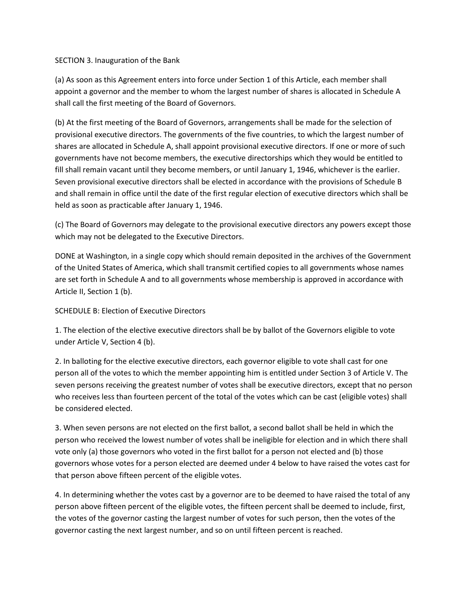#### SECTION 3. Inauguration of the Bank

(a) As soon as this Agreement enters into force under Section 1 of this Article, each member shall appoint a governor and the member to whom the largest number of shares is allocated in Schedule A shall call the first meeting of the Board of Governors.

(b) At the first meeting of the Board of Governors, arrangements shall be made for the selection of provisional executive directors. The governments of the five countries, to which the largest number of shares are allocated in Schedule A, shall appoint provisional executive directors. If one or more of such governments have not become members, the executive directorships which they would be entitled to fill shall remain vacant until they become members, or until January 1, 1946, whichever is the earlier. Seven provisional executive directors shall be elected in accordance with the provisions of Schedule B and shall remain in office until the date of the first regular election of executive directors which shall be held as soon as practicable after January 1, 1946.

(c) The Board of Governors may delegate to the provisional executive directors any powers except those which may not be delegated to the Executive Directors.

DONE at Washington, in a single copy which should remain deposited in the archives of the Government of the United States of America, which shall transmit certified copies to all governments whose names are set forth in Schedule A and to all governments whose membership is approved in accordance with Article II, Section 1 (b).

#### SCHEDULE B: Election of Executive Directors

1. The election of the elective executive directors shall be by ballot of the Governors eligible to vote under Article V, Section 4 (b).

2. In balloting for the elective executive directors, each governor eligible to vote shall cast for one person all of the votes to which the member appointing him is entitled under Section 3 of Article V. The seven persons receiving the greatest number of votes shall be executive directors, except that no person who receives less than fourteen percent of the total of the votes which can be cast (eligible votes) shall be considered elected.

3. When seven persons are not elected on the first ballot, a second ballot shall be held in which the person who received the lowest number of votes shall be ineligible for election and in which there shall vote only (a) those governors who voted in the first ballot for a person not elected and (b) those governors whose votes for a person elected are deemed under 4 below to have raised the votes cast for that person above fifteen percent of the eligible votes.

4. In determining whether the votes cast by a governor are to be deemed to have raised the total of any person above fifteen percent of the eligible votes, the fifteen percent shall be deemed to include, first, the votes of the governor casting the largest number of votes for such person, then the votes of the governor casting the next largest number, and so on until fifteen percent is reached.